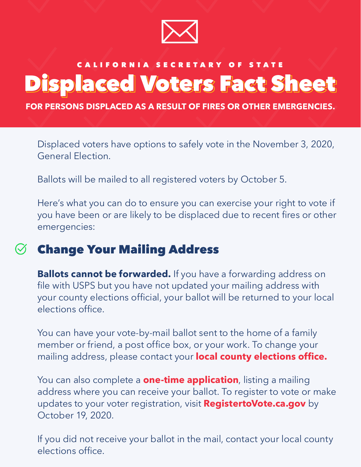

# CALIFORNIA SECRETARY OF STATE Displaced Voters Fact Sheet

**FOR PERSONS DISPLACED AS A RESULT OF FIRES OR OTHER EMERGENCIES.**

Displaced voters have options to safely vote in the November 3, 2020, General Election.

Ballots will be mailed to all registered voters by October 5.

Here's what you can do to ensure you can exercise your right to vote if you have been or are likely to be displaced due to recent fires or other emergencies:

## Change Your Mailing Address

**Ballots cannot be forwarded.** If you have a forwarding address on file with USPS but you have not updated your mailing address with your county elections official, your ballot will be returned to your local elections office.

You can have your vote-by-mail ballot sent to the home of a family member or friend, a post office box, or your work. To change your mailing address, please contact your **[local county elections office.](https://www.sos.ca.gov/elections/voting-resources/county-elections-offices)**

You can also complete a **[one-time application](https://elections.cdn.sos.ca.gov/vote-by-mail/pdf/vote-by-mail-application.pdf)**, listing a mailing updates to your voter registration, visit **[RegistertoVote.ca.gov](https://registertovote.ca.gov/)** by October 19, 2020. address where you can receive your ballot. To register to vote or make

If you did not receive your ballot in the mail, contact your local county elections office.